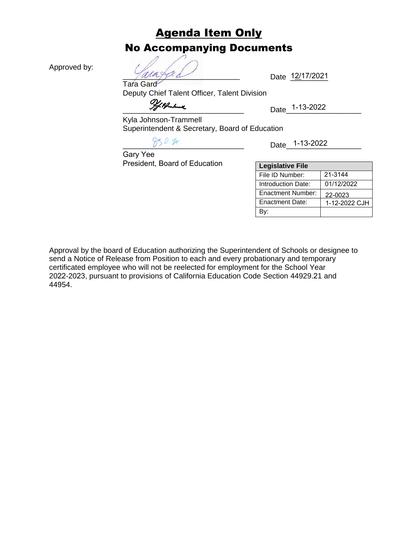## Agenda Item Only No Accompanying Documents

Approved by:

 $Ya$ ra $ya$ Tara Gard

Date 12/17/2021

Deputy Chief Talent Officer, Talent Division

 $\frac{77.72}{201}$ 

Kyla Johnson-Trammell Superintendent & Secretary, Board of Education

\_\_\_\_\_\_\_\_\_\_\_\_\_\_\_\_\_\_\_\_\_\_\_\_\_\_\_\_\_ Date\_\_\_\_\_\_\_\_\_\_\_\_\_\_\_\_\_\_ 1-13-2022

Gary Yee President, Board of Education

| <b>Legislative File</b> |               |
|-------------------------|---------------|
| File ID Number:         | 21-3144       |
| Introduction Date:      | 01/12/2022    |
| Enactment Number:       | 22-0023       |
| <b>Enactment Date:</b>  | 1-12-2022 CJH |
|                         |               |

Approval by the board of Education authorizing the Superintendent of Schools or designee to send a Notice of Release from Position to each and every probationary and temporary certificated employee who will not be reelected for employment for the School Year 2022-2023, pursuant to provisions of California Education Code Section 44929.21 and 44954.